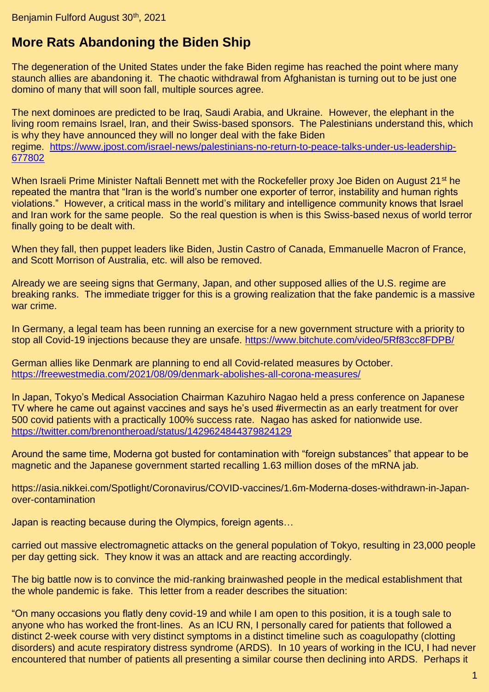## **More Rats Abandoning the Biden Ship**

The degeneration of the United States under the fake Biden regime has reached the point where many staunch allies are abandoning it. The chaotic withdrawal from Afghanistan is turning out to be just one domino of many that will soon fall, multiple sources agree.

The next dominoes are predicted to be Iraq, Saudi Arabia, and Ukraine. However, the elephant in the living room remains Israel, Iran, and their Swiss-based sponsors. The Palestinians understand this, which is why they have announced they will no longer deal with the fake Biden regime. [https://www.jpost.com/israel-news/palestinians-no-return-to-peace-talks-under-us-leadership-](https://www.jpost.com/israel-news/palestinians-no-return-to-peace-talks-under-us-leadership-677802)[677802](https://www.jpost.com/israel-news/palestinians-no-return-to-peace-talks-under-us-leadership-677802)

When Israeli Prime Minister Naftali Bennett met with the Rockefeller proxy Joe Biden on August 21<sup>st</sup> he repeated the mantra that "Iran is the world's number one exporter of terror, instability and human rights violations." However, a critical mass in the world's military and intelligence community knows that Israel and Iran work for the same people. So the real question is when is this Swiss-based nexus of world terror finally going to be dealt with.

When they fall, then puppet leaders like Biden, Justin Castro of Canada, Emmanuelle Macron of France, and Scott Morrison of Australia, etc. will also be removed.

Already we are seeing signs that Germany, Japan, and other supposed allies of the U.S. regime are breaking ranks. The immediate trigger for this is a growing realization that the fake pandemic is a massive war crime.

In Germany, a legal team has been running an exercise for a new government structure with a priority to stop all Covid-19 injections because they are unsafe.<https://www.bitchute.com/video/5Rf83cc8FDPB/>

German allies like Denmark are planning to end all Covid-related measures by October. <https://freewestmedia.com/2021/08/09/denmark-abolishes-all-corona-measures/>

In Japan, Tokyo's Medical Association Chairman Kazuhiro Nagao held a press conference on Japanese TV where he came out against vaccines and says he's used #ivermectin as an early treatment for over 500 covid patients with a practically 100% success rate. Nagao has asked for nationwide use. <https://twitter.com/brenontheroad/status/1429624844379824129>

Around the same time, Moderna got busted for contamination with "foreign substances" that appear to be magnetic and the Japanese government started recalling 1.63 million doses of the mRNA jab.

https://asia.nikkei.com/Spotlight/Coronavirus/COVID-vaccines/1.6m-Moderna-doses-withdrawn-in-Japanover-contamination

Japan is reacting because during the Olympics, foreign agents…

carried out massive electromagnetic attacks on the general population of Tokyo, resulting in 23,000 people per day getting sick. They know it was an attack and are reacting accordingly.

The big battle now is to convince the mid-ranking brainwashed people in the medical establishment that the whole pandemic is fake. This letter from a reader describes the situation:

"On many occasions you flatly deny covid-19 and while I am open to this position, it is a tough sale to anyone who has worked the front-lines. As an ICU RN, I personally cared for patients that followed a distinct 2-week course with very distinct symptoms in a distinct timeline such as coagulopathy (clotting disorders) and acute respiratory distress syndrome (ARDS). In 10 years of working in the ICU, I had never encountered that number of patients all presenting a similar course then declining into ARDS. Perhaps it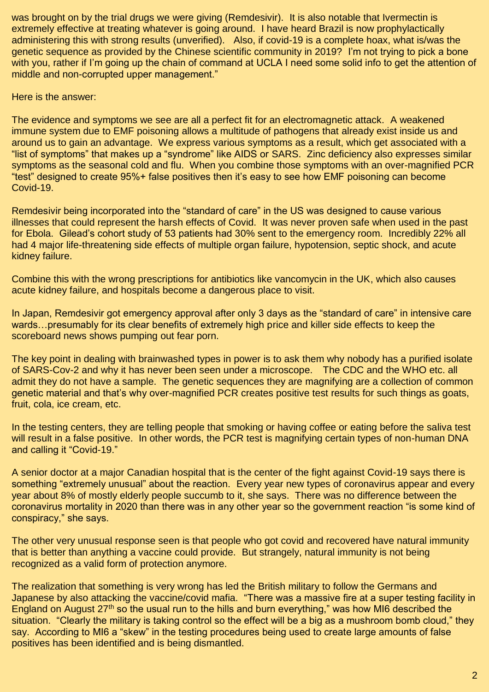was brought on by the trial drugs we were giving (Remdesivir). It is also notable that Ivermectin is extremely effective at treating whatever is going around. I have heard Brazil is now prophylactically administering this with strong results (unverified). Also, if covid-19 is a complete hoax, what is/was the genetic sequence as provided by the Chinese scientific community in 2019? I'm not trying to pick a bone with you, rather if I'm going up the chain of command at UCLA I need some solid info to get the attention of middle and non-corrupted upper management."

Here is the answer:

The evidence and symptoms we see are all a perfect fit for an electromagnetic attack. A weakened immune system due to EMF poisoning allows a multitude of pathogens that already exist inside us and around us to gain an advantage. We express various symptoms as a result, which get associated with a "list of symptoms" that makes up a "syndrome" like AIDS or SARS. Zinc deficiency also expresses similar symptoms as the seasonal cold and flu. When you combine those symptoms with an over-magnified PCR "test" designed to create 95%+ false positives then it's easy to see how EMF poisoning can become Covid-19.

Remdesivir being incorporated into the "standard of care" in the US was designed to cause various illnesses that could represent the harsh effects of Covid. It was never proven safe when used in the past for Ebola. Gilead's cohort study of 53 patients had 30% sent to the emergency room. Incredibly 22% all had 4 major life-threatening side effects of multiple organ failure, hypotension, septic shock, and acute kidney failure.

Combine this with the wrong prescriptions for antibiotics like vancomycin in the UK, which also causes acute kidney failure, and hospitals become a dangerous place to visit.

In Japan, Remdesivir got emergency approval after only 3 days as the "standard of care" in intensive care wards…presumably for its clear benefits of extremely high price and killer side effects to keep the scoreboard news shows pumping out fear porn.

The key point in dealing with brainwashed types in power is to ask them why nobody has a purified isolate of SARS-Cov-2 and why it has never been seen under a microscope. The CDC and the WHO etc. all admit they do not have a sample. The genetic sequences they are magnifying are a collection of common genetic material and that's why over-magnified PCR creates positive test results for such things as goats, fruit, cola, ice cream, etc.

In the testing centers, they are telling people that smoking or having coffee or eating before the saliva test will result in a false positive. In other words, the PCR test is magnifying certain types of non-human DNA and calling it "Covid-19."

A senior doctor at a major Canadian hospital that is the center of the fight against Covid-19 says there is something "extremely unusual" about the reaction. Every year new types of coronavirus appear and every year about 8% of mostly elderly people succumb to it, she says. There was no difference between the coronavirus mortality in 2020 than there was in any other year so the government reaction "is some kind of conspiracy," she says.

The other very unusual response seen is that people who got covid and recovered have natural immunity that is better than anything a vaccine could provide. But strangely, natural immunity is not being recognized as a valid form of protection anymore.

The realization that something is very wrong has led the British military to follow the Germans and Japanese by also attacking the vaccine/covid mafia. "There was a massive fire at a super testing facility in England on August 27<sup>th</sup> so the usual run to the hills and burn everything," was how MI6 described the situation. "Clearly the military is taking control so the effect will be a big as a mushroom bomb cloud," they say. According to MI6 a "skew" in the testing procedures being used to create large amounts of false positives has been identified and is being dismantled.